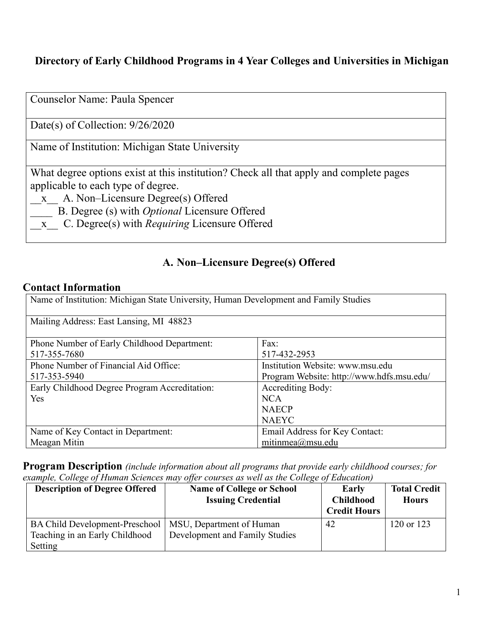## **Directory of Early Childhood Programs in 4 Year Colleges and Universities in Michigan**

| Counselor Name: Paula Spencer                                                                                                                                                                                                                                                                        |
|------------------------------------------------------------------------------------------------------------------------------------------------------------------------------------------------------------------------------------------------------------------------------------------------------|
| Date(s) of Collection: $9/26/2020$                                                                                                                                                                                                                                                                   |
| Name of Institution: Michigan State University                                                                                                                                                                                                                                                       |
| What degree options exist at this institution? Check all that apply and complete pages<br>applicable to each type of degree.<br>x A. Non-Licensure Degree(s) Offered<br>B. Degree (s) with <i>Optional</i> Licensure Offered<br>C. Degree(s) with <i>Requiring</i> Licensure Offered<br>$\mathbf{X}$ |

### **A. Non–Licensure Degree(s) Offered**

#### **Contact Information**

| Name of Institution: Michigan State University, Human Development and Family Studies |                                           |  |
|--------------------------------------------------------------------------------------|-------------------------------------------|--|
| Mailing Address: East Lansing, MI 48823                                              |                                           |  |
| Phone Number of Early Childhood Department:                                          | Fax:                                      |  |
| 517-355-7680                                                                         | 517-432-2953                              |  |
| Phone Number of Financial Aid Office:                                                | Institution Website: www.msu.edu          |  |
| 517-353-5940                                                                         | Program Website: http://www.hdfs.msu.edu/ |  |
| Early Childhood Degree Program Accreditation:                                        | <b>Accrediting Body:</b>                  |  |
| Yes                                                                                  | <b>NCA</b>                                |  |
|                                                                                      | <b>NAECP</b>                              |  |
|                                                                                      | <b>NAEYC</b>                              |  |
| Name of Key Contact in Department:                                                   | Email Address for Key Contact:            |  |
| Meagan Mitin                                                                         | mitinmea $@$ msu.edu                      |  |

**Program Description** *(include information about all programs that provide early childhood courses; for example, College of Human Sciences may offer courses as well as the College of Education)*

| <b>Description of Degree Offered</b>                                               | <b>Name of College or School</b><br><b>Issuing Credential</b> | Early<br><b>Childhood</b><br><b>Credit Hours</b> | <b>Total Credit</b><br><b>Hours</b> |
|------------------------------------------------------------------------------------|---------------------------------------------------------------|--------------------------------------------------|-------------------------------------|
| <b>BA Child Development-Preschool</b><br>Teaching in an Early Childhood<br>Setting | MSU, Department of Human<br>Development and Family Studies    | 42                                               | 120 or 123                          |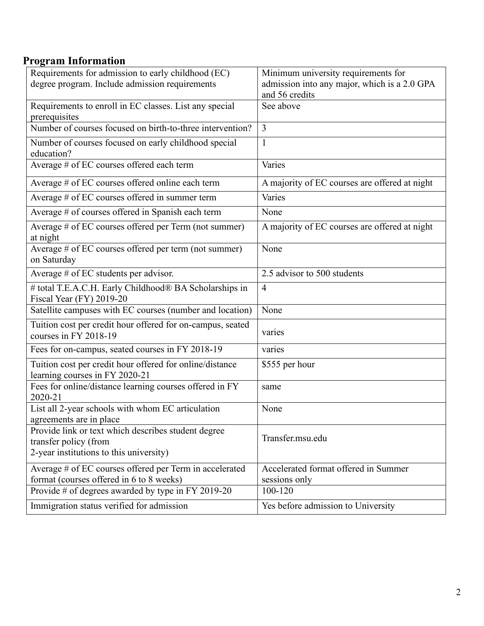## **Program Information**

| Requirements for admission to early childhood (EC)                                                                      | Minimum university requirements for                   |
|-------------------------------------------------------------------------------------------------------------------------|-------------------------------------------------------|
| degree program. Include admission requirements                                                                          | admission into any major, which is a 2.0 GPA          |
|                                                                                                                         | and 56 credits                                        |
| Requirements to enroll in EC classes. List any special<br>prerequisites                                                 | See above                                             |
| Number of courses focused on birth-to-three intervention?                                                               | $\overline{3}$                                        |
| Number of courses focused on early childhood special<br>education?                                                      | $\mathbf{1}$                                          |
| Average # of EC courses offered each term                                                                               | Varies                                                |
| Average # of EC courses offered online each term                                                                        | A majority of EC courses are offered at night         |
| Average # of EC courses offered in summer term                                                                          | Varies                                                |
| Average # of courses offered in Spanish each term                                                                       | None                                                  |
| Average # of EC courses offered per Term (not summer)<br>at night                                                       | A majority of EC courses are offered at night         |
| Average # of EC courses offered per term (not summer)<br>on Saturday                                                    | None                                                  |
| Average # of EC students per advisor.                                                                                   | 2.5 advisor to 500 students                           |
| # total T.E.A.C.H. Early Childhood® BA Scholarships in<br>Fiscal Year (FY) 2019-20                                      | $\overline{4}$                                        |
| Satellite campuses with EC courses (number and location)                                                                | None                                                  |
| Tuition cost per credit hour offered for on-campus, seated<br>courses in FY 2018-19                                     | varies                                                |
| Fees for on-campus, seated courses in FY 2018-19                                                                        | varies                                                |
| Tuition cost per credit hour offered for online/distance<br>learning courses in FY 2020-21                              | \$555 per hour                                        |
| Fees for online/distance learning courses offered in FY<br>2020-21                                                      | same                                                  |
| List all 2-year schools with whom EC articulation<br>agreements are in place                                            | None                                                  |
| Provide link or text which describes student degree<br>transfer policy (from<br>2-year institutions to this university) | Transfer.msu.edu                                      |
| Average # of EC courses offered per Term in accelerated<br>format (courses offered in 6 to 8 weeks)                     | Accelerated format offered in Summer<br>sessions only |
| Provide # of degrees awarded by type in FY 2019-20                                                                      | 100-120                                               |
| Immigration status verified for admission                                                                               | Yes before admission to University                    |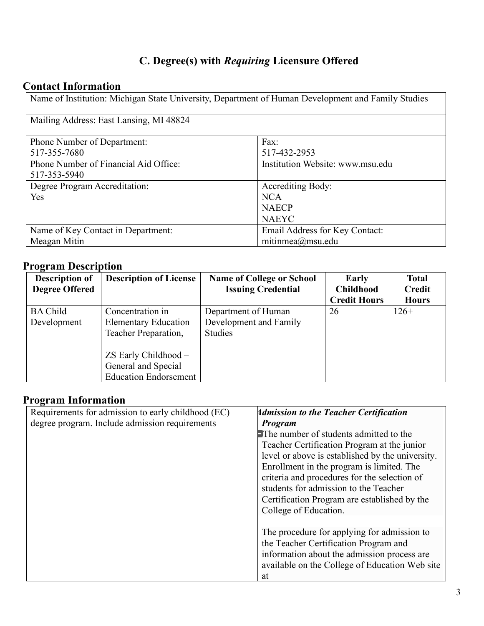# **C. Degree(s) with** *Requiring* **Licensure Offered**

# **Contact Information**

Name of Institution: Michigan State University, Department of Human Development and Family Studies

| Mailing Address: East Lansing, MI 48824 |                                  |  |
|-----------------------------------------|----------------------------------|--|
|                                         |                                  |  |
| <b>Phone Number of Department:</b>      | Fax:                             |  |
| 517-355-7680                            | 517-432-2953                     |  |
| Phone Number of Financial Aid Office:   | Institution Website: www.msu.edu |  |
| 517-353-5940                            |                                  |  |
| Degree Program Accreditation:           | <b>Accrediting Body:</b>         |  |
| Yes                                     | <b>NCA</b>                       |  |
|                                         | <b>NAECP</b>                     |  |
|                                         | <b>NAEYC</b>                     |  |
| Name of Key Contact in Department:      | Email Address for Key Contact:   |  |
| Meagan Mitin                            | mitinmea $@$ msu.edu             |  |

### **Program Description**

| <b>Description of</b> | <b>Description of License</b> | <b>Name of College or School</b> | Early               | <b>Total</b>  |
|-----------------------|-------------------------------|----------------------------------|---------------------|---------------|
| <b>Degree Offered</b> |                               | <b>Issuing Credential</b>        | <b>Childhood</b>    | <b>Credit</b> |
|                       |                               |                                  | <b>Credit Hours</b> | <b>Hours</b>  |
| <b>BA Child</b>       | Concentration in              | Department of Human              | 26                  | $126+$        |
| Development           | <b>Elementary Education</b>   | Development and Family           |                     |               |
|                       | Teacher Preparation,          | <b>Studies</b>                   |                     |               |
|                       |                               |                                  |                     |               |
|                       | ZS Early Childhood -          |                                  |                     |               |
|                       | General and Special           |                                  |                     |               |
|                       | <b>Education Endorsement</b>  |                                  |                     |               |

#### **Program Information**

| Requirements for admission to early childhood (EC) | <b>Admission to the Teacher Certification</b>    |
|----------------------------------------------------|--------------------------------------------------|
| degree program. Include admission requirements     | Program                                          |
|                                                    | The number of students admitted to the           |
|                                                    | Teacher Certification Program at the junior      |
|                                                    | level or above is established by the university. |
|                                                    | Enrollment in the program is limited. The        |
|                                                    | criteria and procedures for the selection of     |
|                                                    | students for admission to the Teacher            |
|                                                    | Certification Program are established by the     |
|                                                    | College of Education.                            |
|                                                    |                                                  |
|                                                    | The procedure for applying for admission to      |
|                                                    | the Teacher Certification Program and            |
|                                                    | information about the admission process are      |
|                                                    | available on the College of Education Web site   |
|                                                    | at                                               |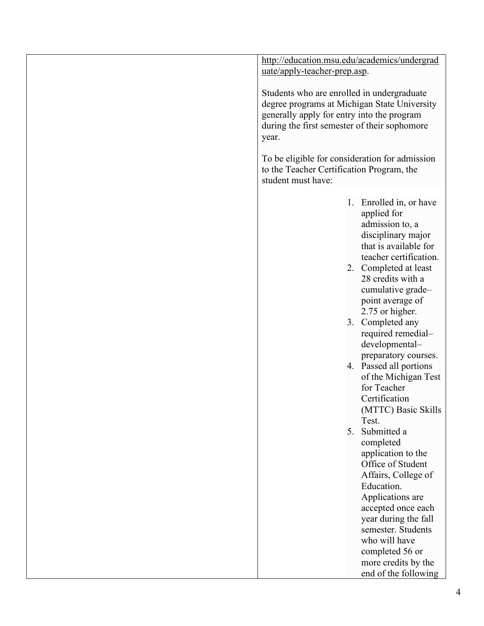| http://education.msu.edu/academics/undergrad                                                                                                                                                      |                                                                                                                                                                                                                                                                                                                                                                                                                                                                                                                                                                                                                                                                                            |
|---------------------------------------------------------------------------------------------------------------------------------------------------------------------------------------------------|--------------------------------------------------------------------------------------------------------------------------------------------------------------------------------------------------------------------------------------------------------------------------------------------------------------------------------------------------------------------------------------------------------------------------------------------------------------------------------------------------------------------------------------------------------------------------------------------------------------------------------------------------------------------------------------------|
| uate/apply-teacher-prep.asp.                                                                                                                                                                      |                                                                                                                                                                                                                                                                                                                                                                                                                                                                                                                                                                                                                                                                                            |
| Students who are enrolled in undergraduate<br>degree programs at Michigan State University<br>generally apply for entry into the program<br>during the first semester of their sophomore<br>year. |                                                                                                                                                                                                                                                                                                                                                                                                                                                                                                                                                                                                                                                                                            |
| To be eligible for consideration for admission<br>to the Teacher Certification Program, the<br>student must have:                                                                                 |                                                                                                                                                                                                                                                                                                                                                                                                                                                                                                                                                                                                                                                                                            |
| 5.                                                                                                                                                                                                | 1. Enrolled in, or have<br>applied for<br>admission to, a<br>disciplinary major<br>that is available for<br>teacher certification.<br>2. Completed at least<br>28 credits with a<br>cumulative grade-<br>point average of<br>2.75 or higher.<br>3. Completed any<br>required remedial-<br>developmental-<br>preparatory courses.<br>4. Passed all portions<br>of the Michigan Test<br>for Teacher<br>Certification<br>(MTTC) Basic Skills<br>Test.<br>Submitted a<br>completed<br>application to the<br>Office of Student<br>Affairs, College of<br>Education.<br>Applications are<br>accepted once each<br>year during the fall<br>semester. Students<br>who will have<br>completed 56 or |
|                                                                                                                                                                                                   | more credits by the<br>end of the following                                                                                                                                                                                                                                                                                                                                                                                                                                                                                                                                                                                                                                                |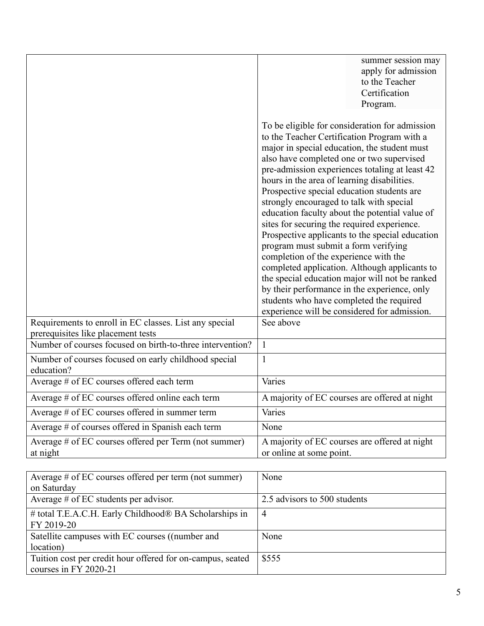|                                                                                              | summer session may<br>apply for admission<br>to the Teacher<br>Certification<br>Program.                                                                                                                                                                                                                                                                                                                                                                                                                                                                                                                                                                                                                                                                                                                                                                                  |
|----------------------------------------------------------------------------------------------|---------------------------------------------------------------------------------------------------------------------------------------------------------------------------------------------------------------------------------------------------------------------------------------------------------------------------------------------------------------------------------------------------------------------------------------------------------------------------------------------------------------------------------------------------------------------------------------------------------------------------------------------------------------------------------------------------------------------------------------------------------------------------------------------------------------------------------------------------------------------------|
|                                                                                              | To be eligible for consideration for admission<br>to the Teacher Certification Program with a<br>major in special education, the student must<br>also have completed one or two supervised<br>pre-admission experiences totaling at least 42<br>hours in the area of learning disabilities.<br>Prospective special education students are<br>strongly encouraged to talk with special<br>education faculty about the potential value of<br>sites for securing the required experience.<br>Prospective applicants to the special education<br>program must submit a form verifying<br>completion of the experience with the<br>completed application. Although applicants to<br>the special education major will not be ranked<br>by their performance in the experience, only<br>students who have completed the required<br>experience will be considered for admission. |
| Requirements to enroll in EC classes. List any special<br>prerequisites like placement tests | See above                                                                                                                                                                                                                                                                                                                                                                                                                                                                                                                                                                                                                                                                                                                                                                                                                                                                 |
| Number of courses focused on birth-to-three intervention?                                    | $\mathbf{1}$                                                                                                                                                                                                                                                                                                                                                                                                                                                                                                                                                                                                                                                                                                                                                                                                                                                              |
| Number of courses focused on early childhood special<br>education?                           | $\mathbf{1}$                                                                                                                                                                                                                                                                                                                                                                                                                                                                                                                                                                                                                                                                                                                                                                                                                                                              |
| Average # of EC courses offered each term                                                    | Varies                                                                                                                                                                                                                                                                                                                                                                                                                                                                                                                                                                                                                                                                                                                                                                                                                                                                    |
| Average # of EC courses offered online each term                                             | A majority of EC courses are offered at night                                                                                                                                                                                                                                                                                                                                                                                                                                                                                                                                                                                                                                                                                                                                                                                                                             |
| Average # of EC courses offered in summer term                                               | Varies                                                                                                                                                                                                                                                                                                                                                                                                                                                                                                                                                                                                                                                                                                                                                                                                                                                                    |
| Average # of courses offered in Spanish each term                                            | None                                                                                                                                                                                                                                                                                                                                                                                                                                                                                                                                                                                                                                                                                                                                                                                                                                                                      |
| Average # of EC courses offered per Term (not summer)<br>at night                            | A majority of EC courses are offered at night<br>or online at some point.                                                                                                                                                                                                                                                                                                                                                                                                                                                                                                                                                                                                                                                                                                                                                                                                 |

| Average $\#$ of EC courses offered per term (not summer)   | None                         |
|------------------------------------------------------------|------------------------------|
| on Saturday                                                |                              |
| Average $#$ of EC students per advisor.                    | 2.5 advisors to 500 students |
| # total T.E.A.C.H. Early Childhood® BA Scholarships in     | 4                            |
| FY 2019-20                                                 |                              |
| Satellite campuses with EC courses ((number and            | None                         |
| location)                                                  |                              |
| Tuition cost per credit hour offered for on-campus, seated | \$555                        |
| courses in FY 2020-21                                      |                              |